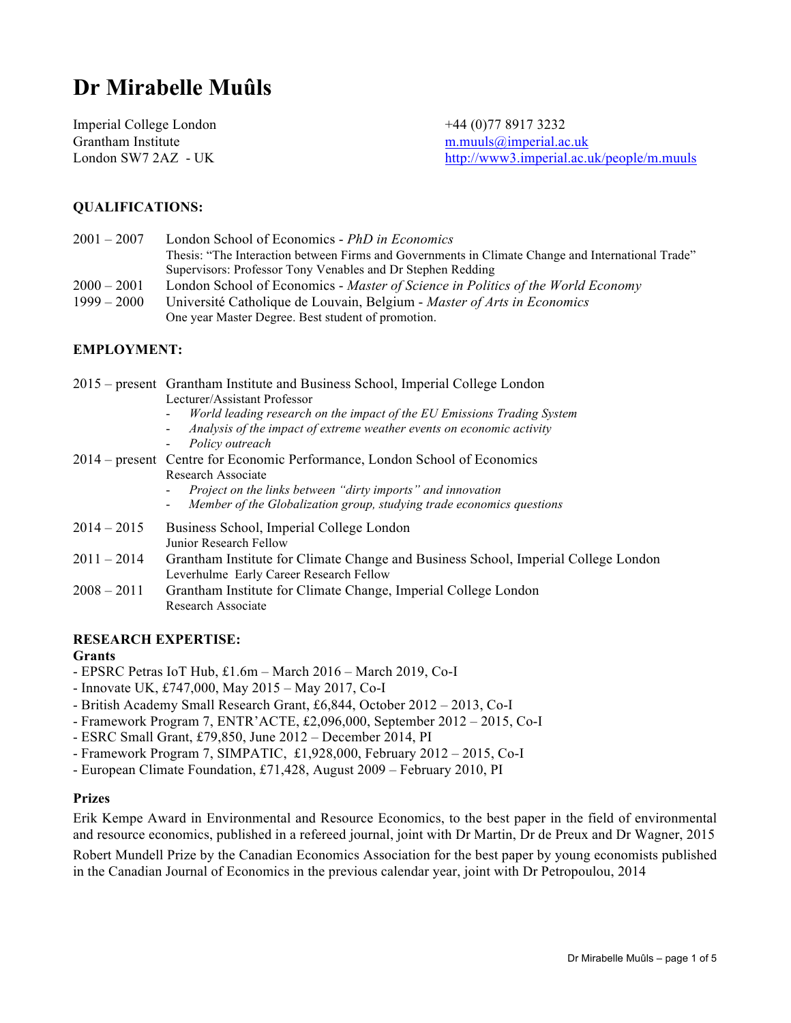# **Dr Mirabelle Muûls**

Imperial College London +44 (0)77 8917 3232 Grantham Institute m.muuls@imperial.ac.uk

London SW7 2AZ - UK http://www3.imperial.ac.uk/people/m.muuls

# **QUALIFICATIONS:**

| $2001 - 2007$ | London School of Economics - PhD in Economics                                                     |
|---------------|---------------------------------------------------------------------------------------------------|
|               | Thesis: "The Interaction between Firms and Governments in Climate Change and International Trade" |
|               | Supervisors: Professor Tony Venables and Dr Stephen Redding                                       |
| $2000 - 2001$ | London School of Economics - Master of Science in Politics of the World Economy                   |
| $1999 - 2000$ | Université Catholique de Louvain, Belgium - Master of Arts in Economics                           |
|               | One year Master Degree. Best student of promotion.                                                |

# **EMPLOYMENT:**

|               | 2015 – present Grantham Institute and Business School, Imperial College London<br>Lecturer/Assistant Professor<br>World leading research on the impact of the EU Emissions Trading System<br>Analysis of the impact of extreme weather events on economic activity |
|---------------|--------------------------------------------------------------------------------------------------------------------------------------------------------------------------------------------------------------------------------------------------------------------|
|               | Policy outreach<br>2014 – present Centre for Economic Performance, London School of Economics<br>Research Associate                                                                                                                                                |
|               | Project on the links between "dirty imports" and innovation<br>Member of the Globalization group, studying trade economics questions                                                                                                                               |
| $2014 - 2015$ | Business School, Imperial College London<br>Junior Research Fellow                                                                                                                                                                                                 |
| $2011 - 2014$ | Grantham Institute for Climate Change and Business School, Imperial College London<br>Leverhulme Early Career Research Fellow                                                                                                                                      |
| $2008 - 2011$ | Grantham Institute for Climate Change, Imperial College London<br>Research Associate                                                                                                                                                                               |

# **RESEARCH EXPERTISE:**

#### **Grants**

- EPSRC Petras IoT Hub, £1.6m March 2016 March 2019, Co-I
- Innovate UK, £747,000, May 2015 May 2017, Co-I
- British Academy Small Research Grant, £6,844, October 2012 2013, Co-I
- Framework Program 7, ENTR'ACTE, £2,096,000, September 2012 2015, Co-I
- ESRC Small Grant, £79,850, June 2012 December 2014, PI
- Framework Program 7, SIMPATIC, £1,928,000, February 2012 2015, Co-I
- European Climate Foundation, £71,428, August 2009 February 2010, PI

## **Prizes**

Erik Kempe Award in Environmental and Resource Economics, to the best paper in the field of environmental and resource economics, published in a refereed journal, joint with Dr Martin, Dr de Preux and Dr Wagner, 2015 Robert Mundell Prize by the Canadian Economics Association for the best paper by young economists published in the Canadian Journal of Economics in the previous calendar year, joint with Dr Petropoulou, 2014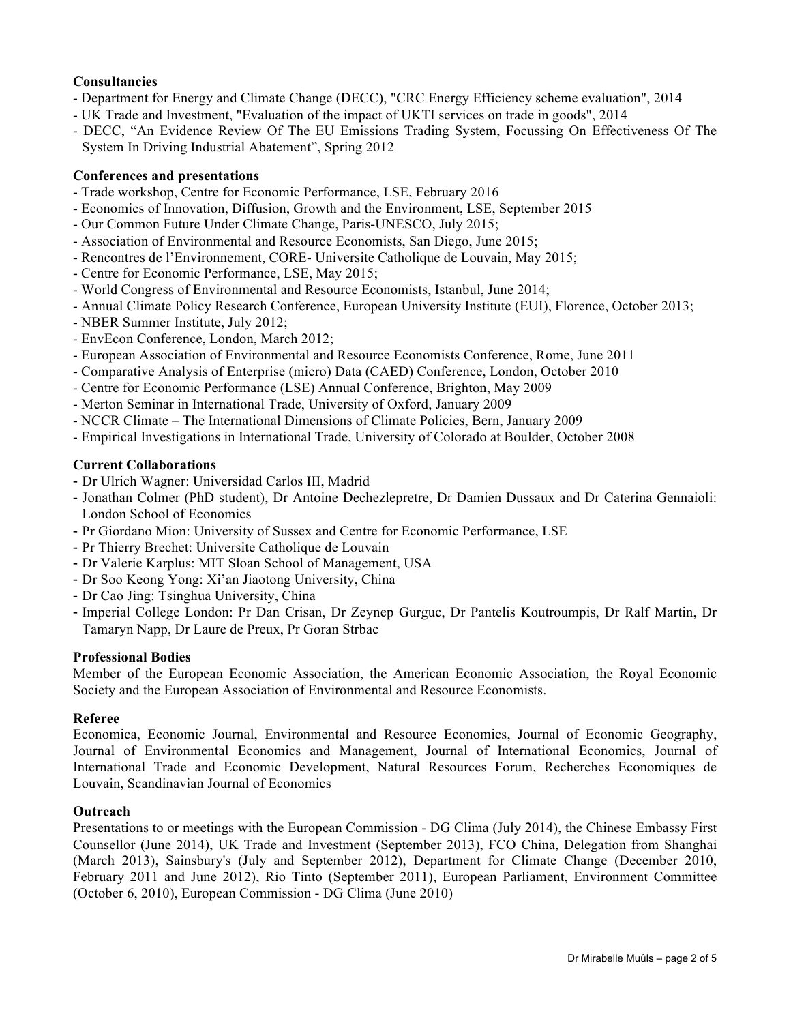# **Consultancies**

- Department for Energy and Climate Change (DECC), "CRC Energy Efficiency scheme evaluation", 2014
- UK Trade and Investment, "Evaluation of the impact of UKTI services on trade in goods", 2014
- DECC, "An Evidence Review Of The EU Emissions Trading System, Focussing On Effectiveness Of The System In Driving Industrial Abatement", Spring 2012

## **Conferences and presentations**

- Trade workshop, Centre for Economic Performance, LSE, February 2016
- Economics of Innovation, Diffusion, Growth and the Environment, LSE, September 2015
- Our Common Future Under Climate Change, Paris-UNESCO, July 2015;
- Association of Environmental and Resource Economists, San Diego, June 2015;
- Rencontres de l'Environnement, CORE- Universite Catholique de Louvain, May 2015;
- Centre for Economic Performance, LSE, May 2015;
- World Congress of Environmental and Resource Economists, Istanbul, June 2014;
- Annual Climate Policy Research Conference, European University Institute (EUI), Florence, October 2013;
- NBER Summer Institute, July 2012;
- EnvEcon Conference, London, March 2012;
- European Association of Environmental and Resource Economists Conference, Rome, June 2011
- Comparative Analysis of Enterprise (micro) Data (CAED) Conference, London, October 2010
- Centre for Economic Performance (LSE) Annual Conference, Brighton, May 2009
- Merton Seminar in International Trade, University of Oxford, January 2009
- NCCR Climate The International Dimensions of Climate Policies, Bern, January 2009
- Empirical Investigations in International Trade, University of Colorado at Boulder, October 2008

## **Current Collaborations**

- Dr Ulrich Wagner: Universidad Carlos III, Madrid
- Jonathan Colmer (PhD student), Dr Antoine Dechezlepretre, Dr Damien Dussaux and Dr Caterina Gennaioli: London School of Economics
- Pr Giordano Mion: University of Sussex and Centre for Economic Performance, LSE
- Pr Thierry Brechet: Universite Catholique de Louvain
- Dr Valerie Karplus: MIT Sloan School of Management, USA
- Dr Soo Keong Yong: Xi'an Jiaotong University, China
- Dr Cao Jing: Tsinghua University, China
- Imperial College London: Pr Dan Crisan, Dr Zeynep Gurguc, Dr Pantelis Koutroumpis, Dr Ralf Martin, Dr Tamaryn Napp, Dr Laure de Preux, Pr Goran Strbac

#### **Professional Bodies**

Member of the European Economic Association, the American Economic Association, the Royal Economic Society and the European Association of Environmental and Resource Economists.

## **Referee**

Economica, Economic Journal, Environmental and Resource Economics, Journal of Economic Geography, Journal of Environmental Economics and Management, Journal of International Economics, Journal of International Trade and Economic Development, Natural Resources Forum, Recherches Economiques de Louvain, Scandinavian Journal of Economics

#### **Outreach**

Presentations to or meetings with the European Commission - DG Clima (July 2014), the Chinese Embassy First Counsellor (June 2014), UK Trade and Investment (September 2013), FCO China, Delegation from Shanghai (March 2013), Sainsbury's (July and September 2012), Department for Climate Change (December 2010, February 2011 and June 2012), Rio Tinto (September 2011), European Parliament, Environment Committee (October 6, 2010), European Commission - DG Clima (June 2010)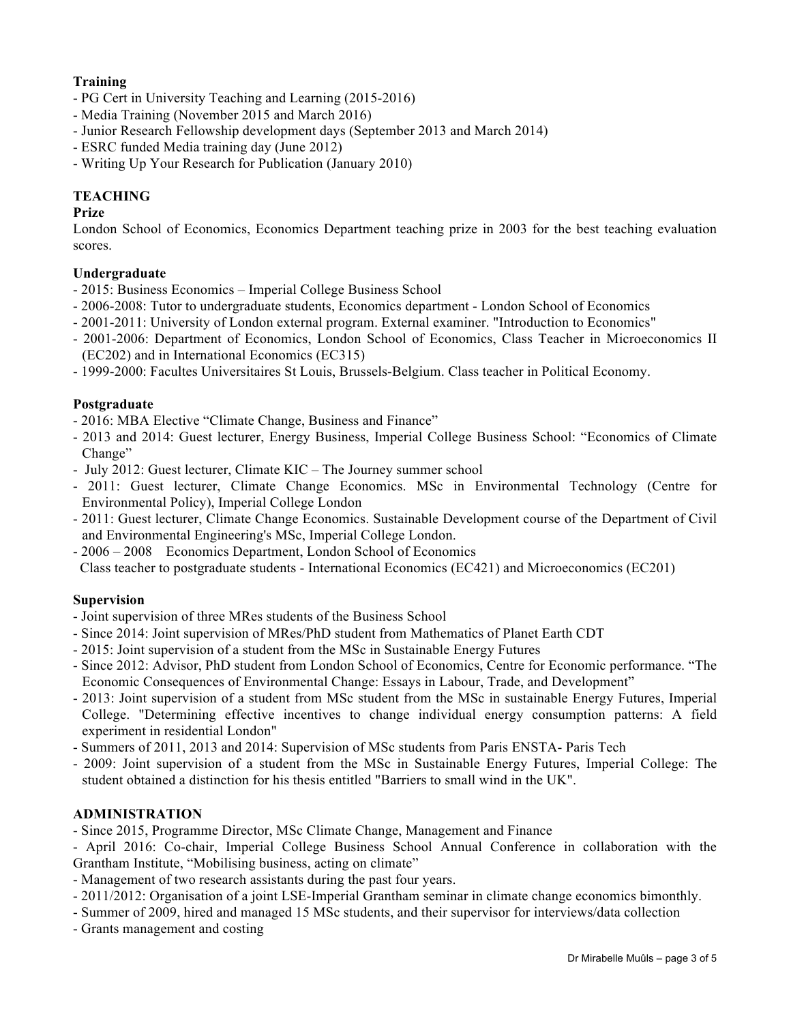# **Training**

- PG Cert in University Teaching and Learning (2015-2016)
- Media Training (November 2015 and March 2016)
- Junior Research Fellowship development days (September 2013 and March 2014)
- ESRC funded Media training day (June 2012)
- Writing Up Your Research for Publication (January 2010)

# **TEACHING**

# **Prize**

London School of Economics, Economics Department teaching prize in 2003 for the best teaching evaluation scores.

# **Undergraduate**

- 2015: Business Economics Imperial College Business School
- 2006-2008: Tutor to undergraduate students, Economics department London School of Economics
- 2001-2011: University of London external program. External examiner. "Introduction to Economics"
- 2001-2006: Department of Economics, London School of Economics, Class Teacher in Microeconomics II (EC202) and in International Economics (EC315)
- 1999-2000: Facultes Universitaires St Louis, Brussels-Belgium. Class teacher in Political Economy.

# **Postgraduate**

- 2016: MBA Elective "Climate Change, Business and Finance"
- 2013 and 2014: Guest lecturer, Energy Business, Imperial College Business School: "Economics of Climate Change"
- July 2012: Guest lecturer, Climate KIC The Journey summer school
- 2011: Guest lecturer, Climate Change Economics. MSc in Environmental Technology (Centre for Environmental Policy), Imperial College London
- 2011: Guest lecturer, Climate Change Economics. Sustainable Development course of the Department of Civil and Environmental Engineering's MSc, Imperial College London.
- 2006 2008 Economics Department, London School of Economics
- Class teacher to postgraduate students International Economics (EC421) and Microeconomics (EC201)

# **Supervision**

- Joint supervision of three MRes students of the Business School
- Since 2014: Joint supervision of MRes/PhD student from Mathematics of Planet Earth CDT
- 2015: Joint supervision of a student from the MSc in Sustainable Energy Futures
- Since 2012: Advisor, PhD student from London School of Economics, Centre for Economic performance. "The Economic Consequences of Environmental Change: Essays in Labour, Trade, and Development"
- 2013: Joint supervision of a student from MSc student from the MSc in sustainable Energy Futures, Imperial College. "Determining effective incentives to change individual energy consumption patterns: A field experiment in residential London"
- Summers of 2011, 2013 and 2014: Supervision of MSc students from Paris ENSTA- Paris Tech
- 2009: Joint supervision of a student from the MSc in Sustainable Energy Futures, Imperial College: The student obtained a distinction for his thesis entitled "Barriers to small wind in the UK".

# **ADMINISTRATION**

- Since 2015, Programme Director, MSc Climate Change, Management and Finance

- April 2016: Co-chair, Imperial College Business School Annual Conference in collaboration with the Grantham Institute, "Mobilising business, acting on climate"

- Management of two research assistants during the past four years.
- 2011/2012: Organisation of a joint LSE-Imperial Grantham seminar in climate change economics bimonthly.
- Summer of 2009, hired and managed 15 MSc students, and their supervisor for interviews/data collection
- Grants management and costing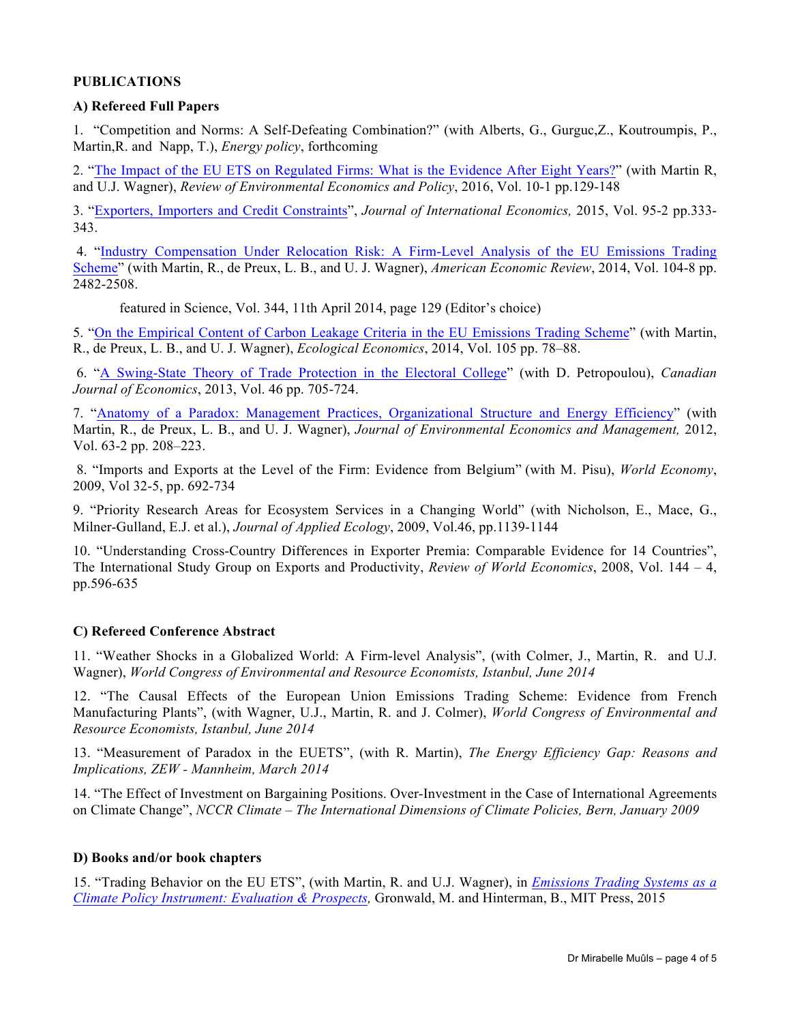# **PUBLICATIONS**

## **A) Refereed Full Papers**

1. "Competition and Norms: A Self-Defeating Combination?" (with Alberts, G., Gurguc,Z., Koutroumpis, P., Martin,R. and Napp, T.), *Energy policy*, forthcoming

2. "The Impact of the EU ETS on Regulated Firms: What is the Evidence After Eight Years?" (with Martin R, and U.J. Wagner), *Review of Environmental Economics and Policy*, 2016, Vol. 10-1 pp.129-148

3. "Exporters, Importers and Credit Constraints", *Journal of International Economics,* 2015, Vol. 95-2 pp.333- 343.

4. "Industry Compensation Under Relocation Risk: A Firm-Level Analysis of the EU Emissions Trading Scheme" (with Martin, R., de Preux, L. B., and U. J. Wagner), *American Economic Review*, 2014, Vol. 104-8 pp. 2482-2508.

featured in Science, Vol. 344, 11th April 2014, page 129 (Editor's choice)

5. "On the Empirical Content of Carbon Leakage Criteria in the EU Emissions Trading Scheme" (with Martin, R., de Preux, L. B., and U. J. Wagner), *Ecological Economics*, 2014, Vol. 105 pp. 78–88.

6. "A Swing-State Theory of Trade Protection in the Electoral College" (with D. Petropoulou), *Canadian Journal of Economics*, 2013, Vol. 46 pp. 705-724.

7. "Anatomy of a Paradox: Management Practices, Organizational Structure and Energy Efficiency" (with Martin, R., de Preux, L. B., and U. J. Wagner), *Journal of Environmental Economics and Management,* 2012, Vol. 63-2 pp. 208–223.

8. "Imports and Exports at the Level of the Firm: Evidence from Belgium" (with M. Pisu), *World Economy*, 2009, Vol 32-5, pp. 692-734

9. "Priority Research Areas for Ecosystem Services in a Changing World" (with Nicholson, E., Mace, G., Milner-Gulland, E.J. et al.), *Journal of Applied Ecology*, 2009, Vol.46, pp.1139-1144

10. "Understanding Cross-Country Differences in Exporter Premia: Comparable Evidence for 14 Countries", The International Study Group on Exports and Productivity, *Review of World Economics*, 2008, Vol. 144 – 4, pp.596-635

# **C) Refereed Conference Abstract**

11. "Weather Shocks in a Globalized World: A Firm-level Analysis", (with Colmer, J., Martin, R. and U.J. Wagner), *World Congress of Environmental and Resource Economists, Istanbul, June 2014*

12. "The Causal Effects of the European Union Emissions Trading Scheme: Evidence from French Manufacturing Plants", (with Wagner, U.J., Martin, R. and J. Colmer), *World Congress of Environmental and Resource Economists, Istanbul, June 2014*

13. "Measurement of Paradox in the EUETS", (with R. Martin), *The Energy Efficiency Gap: Reasons and Implications, ZEW - Mannheim, March 2014*

14. "The Effect of Investment on Bargaining Positions. Over-Investment in the Case of International Agreements on Climate Change", *NCCR Climate – The International Dimensions of Climate Policies, Bern, January 2009*

# **D) Books and/or book chapters**

15. "Trading Behavior on the EU ETS", (with Martin, R. and U.J. Wagner), in *Emissions Trading Systems as a Climate Policy Instrument: Evaluation & Prospects,* Gronwald, M. and Hinterman, B., MIT Press, 2015